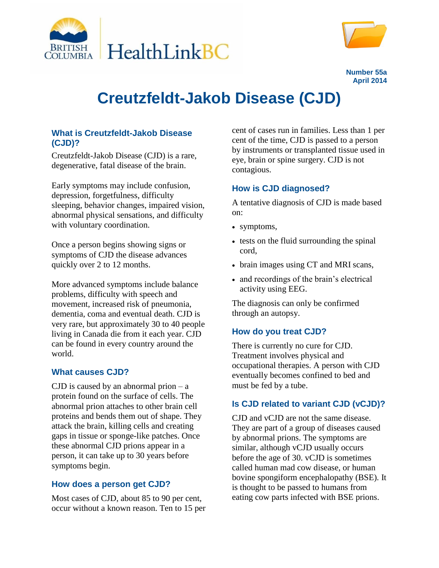



**Number 55a April 2014**

# **Creutzfeldt-Jakob Disease (CJD)**

#### **What is Creutzfeldt-Jakob Disease (CJD)?**

Creutzfeldt-Jakob Disease (CJD) is a rare, degenerative, fatal disease of the brain.

Early symptoms may include confusion, depression, forgetfulness, difficulty sleeping, behavior changes, impaired vision, abnormal physical sensations, and difficulty with voluntary coordination.

Once a person begins showing signs or symptoms of CJD the disease advances quickly over 2 to 12 months.

More advanced symptoms include balance problems, difficulty with speech and movement, increased risk of pneumonia, dementia, coma and eventual death. CJD is very rare, but approximately 30 to 40 people living in Canada die from it each year. CJD can be found in every country around the world.

#### **What causes CJD?**

CJD is caused by an abnormal prion  $-$  a protein found on the surface of cells. The abnormal prion attaches to other brain cell proteins and bends them out of shape. They attack the brain, killing cells and creating gaps in tissue or sponge-like patches. Once these abnormal CJD prions appear in a person, it can take up to 30 years before symptoms begin.

#### **How does a person get CJD?**

Most cases of CJD, about 85 to 90 per cent, occur without a known reason. Ten to 15 per

cent of cases run in families. Less than 1 per cent of the time, CJD is passed to a person by instruments or transplanted tissue used in eye, brain or spine surgery. CJD is not contagious.

## **How is CJD diagnosed?**

A tentative diagnosis of CJD is made based on:

- symptoms,
- tests on the fluid surrounding the spinal cord,
- brain images using CT and MRI scans,
- and recordings of the brain's electrical activity using EEG.

The diagnosis can only be confirmed through an autopsy.

## **How do you treat CJD?**

There is currently no cure for CJD. Treatment involves physical and occupational therapies. A person with CJD eventually becomes confined to bed and must be fed by a tube.

## **Is CJD related to variant CJD (vCJD)?**

CJD and vCJD are not the same disease. They are part of a group of diseases caused by abnormal prions. The symptoms are similar, although vCJD usually occurs before the age of 30. vCJD is sometimes called human mad cow disease, or human bovine spongiform encephalopathy (BSE). It is thought to be passed to humans from eating cow parts infected with BSE prions.